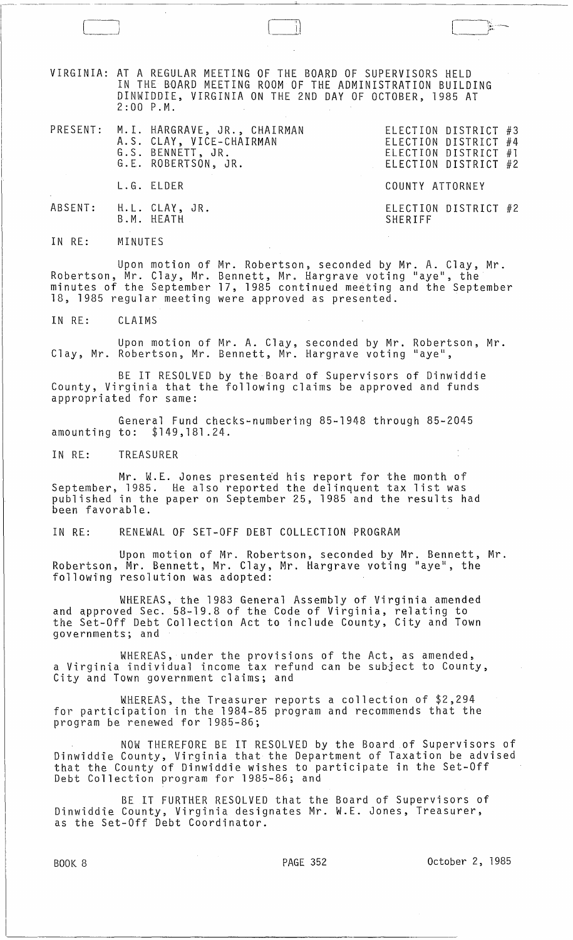VIRGINIA: AT A REGULAR MEETING OF THE BOARD OF SUPERVISORS HELD IN THE ROARD MEETING ROOM OF THE ADMINISTRATION BUILDING DINWIDDIE, VIRGINIA ON THE 2ND DAY OF OCTOBER, 1985 AT  $2:00$   $P.M.$ 

 $\begin{array}{|c|c|c|c|c|}\hline \quad \quad & \quad & \quad & \quad & \quad & \quad \\ \hline \quad \quad & \quad & \quad & \quad & \quad & \quad \\ \hline \quad \quad & \quad & \quad & \quad & \quad & \quad \\ \hline \end{array}$ 

\_.----. -~ ------ ---------"'-----~-~--------------~--

|  | PRESENT: M.I. HARGRAVE, JR., CHAIRMAN<br>A.S. CLAY, VICE-CHAIRMAN<br>G.S. BENNETT, JR.<br>G.E. ROBERTSON, JR. | ELECTION DISTRICT #3<br>ELECTION DISTRICT #4<br>ELECTION DISTRICT #1<br>ELECTION DISTRICT #2 |
|--|---------------------------------------------------------------------------------------------------------------|----------------------------------------------------------------------------------------------|
|  | L.G. ELDER                                                                                                    | COUNTY ATTORNEY                                                                              |
|  | ABSENT: H.L. CLAY, JR.<br>B.M. HEATH                                                                          | ELECTION DISTRICT #2<br>SHERIFF                                                              |

IN RE: **MINUTES** 

Upon motion of Mr. Robertson, seconded by Mr. A. Clay, Mr. Robertson, Mr. Clay, Mr. Bennett, Mr. Hargrave voting "aye", the minutes of the September 17, 1985 continued meeting and the September 18, 1985 regular meeting were approved as presented.

IN RE: CLAIMS

Upon motion of Mr. A. Clay, seconded by Mr. Robertson, Mr. Clay, Mr. Robertson, Mr. Bennett, Mr. Hargrave voting "aye",

BE IT RESOLVED by the Board of Supervisors of Dinwiddie County, Virginia that the following claims be approved and funds appropriated for same:

General Fund checks-numbering 85-1948 through 85-2045 amounting to: \$149,181.24.

IN RE: TREASURER

 $Mr.$  W.E. Jones presented his report for the month of September, 1985. He also reported the delinquent tax list was published in the paper on September 25, 1985 and the results had been favorable.

IN RE: RENEWAL OF SET-OFF DEBT COLLECTION PROGRAM

Upon motion of Mr. Robertson, seconded by Mr. Bennett, Mr. Robertson, Mr. Bennett, Mr. Clay, Mr. Hargrave voting "aye", the following resolution was adopted:

WHEREAS, the 1983 General Assembly of Virginia amended and approved Sec. 58-19.8 of the Code of Virginia, relating to the Set-Off Debt Collection Act to include County, City and Town governments; and

WHEREAS, under the provisions of the Act, as amended, a Virginia individual income tax refund can be subject to County, City and Town government claims; and

WHEREAS, the Treasurer reports a collection of \$2,294 for participation in the 1984-85 program and recommends that the program be renewed for 1985-86;

NOW THEREFORE BE IT RESOLVED by the Board of Supervisors of Dinwiddie County, Virginia that the Department of Taxation be advised that the County of Dinwiddie wishes to participate in the Set-Off Debt Collection program for 1985-86; and

BE IT FURTHER RESOLVED that the Board of Supervisors of Dinwiddie County, Virginia designates Mr. W.E. Jones, Treasurer, as the Set-Off Debt Coordinator.

BOOK 8 **PAGE 352** PAGE 352 **October 2, 1985**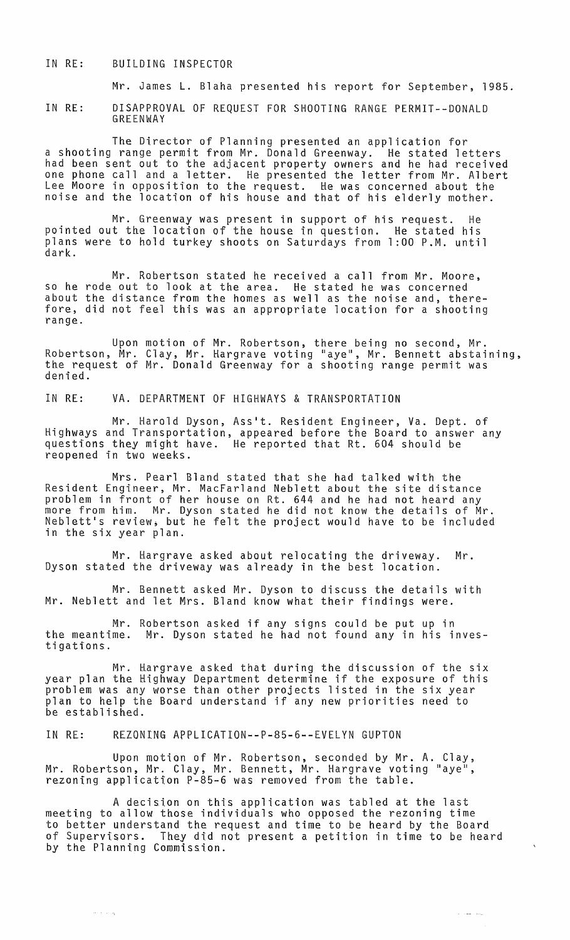## IN RE: BUILDING INSPECTOR

Mr. James L. Blaha presented his report for September, 1985.

IN RE: DISAPPROVAL OF REQUEST FOR SHOOTING RANGE PERMIT--DONALD GREENWAY

The Director of Planning presented an application for a shooting range permit from Mr. Donald Greenway. He stated letters had been sent out to the adjacent property owners and he had received one phone call and a letter. He presented the letter from Mr. Albert Lee Moore in opposition to the request. He was concerned about the noise and the location of his house and that of his elderly mother.

Mr. Greenway was present in support of his request. He pointed out the location of the house in question. He stated his plans were to hold turkey shoots on Saturdays from 1 :00 P.M. until dark.

Mr. Robertson stated he received a call from Mr. Moore, so he rode out to look at the area. He stated he was concerned about the distance from the homes as well as the noise and, therefore, did not feel this was an appropriate location for a shooting range.

Upon motion of Mr. Robertson, there being no second, Mr. Robertson, Mr. Clay, Mr. Hargrave voting "aye", Mr. Bennett abstaining,<br>the request of Mr. Donald Greenway for a shooting range permit was denied.

IN RE: VA. DEPARTMENT OF HIGHWAYS & TRANSPORTATION

Mr. Harold Dyson, Ass't. Resident Engineer, Va. Dept. of Highways and Transportation, appeared before the Board to answer any questions they might have. He reported that Rt. 604 should be reopened in two weeks.

Mrs. Pearl Bland stated that she had talked with the Resident Engineer, Mr. MacFarland Neblett about the site distance problem in front of her house on Rt. 644 and he had not heard any more from him. Mr. Dyson stated he did not know the details of Mr. Neblett's review; but he felt the project would have to be included in the six year plan.

Mr. Hargrave asked about relocating the driveway. Mr. Dyson stated the driveway was already in the best location.

Mr. Bennett asked Mr. Dyson to discuss the details with Mr. Neblett and let Mrs. Bland know what their findings were.

Mr. Robertson asked if any signs could be put up in the meantime. Mr. Dyson stated he had not found any in his investigations.

Mr. Hargrave asked that during the discussion of the six year plan the Highway Department determine if the exposure of this problem was any worse than other projects listed in the six year plan to help the Board understand if any new priorities need to be established.

IN RE: REZONING APPLICATION--P-85-6--EVELYN GUPTON

Upon motion of Mr. Robertson, seconded by Mr. A. Clay, Mr. Robertson, Mr. Clay, Mr. Bennett, Mr. Hargrave voting "aye", rezoning application P-85-6 was removed from the table.

A decision on this application was tabled at the last meeting to allow those individuals who opposed the rezoning time to better understand the request and time to be heard by the Board of Supervisors. They did not present a petition in time to be heard by the Planning Commission.

 $\mathcal{L}^{\text{c}}$  , where  $\mathcal{L}^{\text{c}}$  and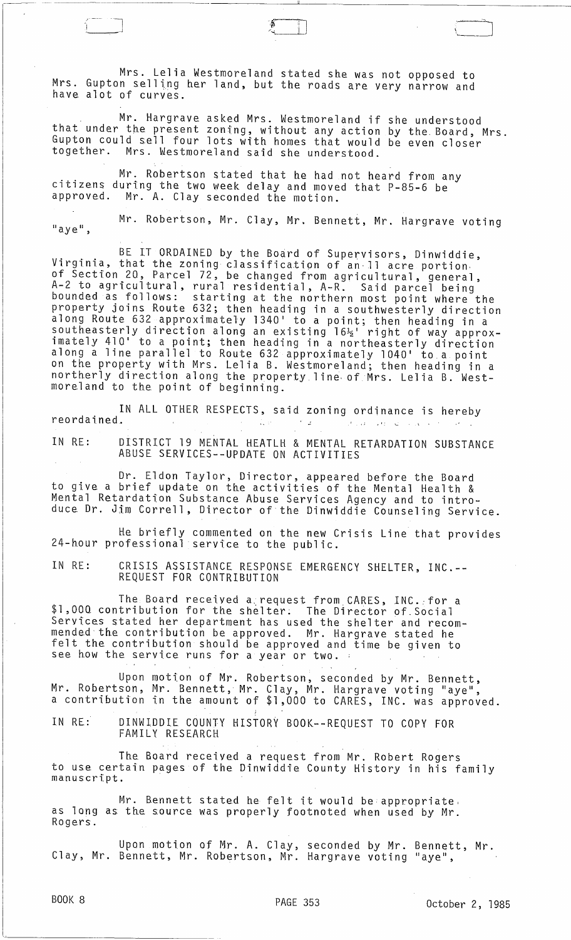Mrs. Lelia Westmoreland stated she was not opposed to Mrs. Gupton selling her land, but the roads are very narrow and have alot of curves.

 $\qquad \qquad \qquad \qquad \qquad \qquad \qquad$ 

Mr. Hargrave asked Mrs. Westmoreland if she understood that under the present zoning, without any action by the. Board, Mrs. Gupton could sell four lots with homes that would be even closer together. Mrs. Westmoreland said she understood.

-------------------~-----------"--------------~-~-~-~~-

J

Mr. Robertson stated that he had not heard from any citizens during the two week delay and moved that P-85-6 be approved. Mr. A. Clay seconded the motion.

 $"$ aye", Mr. Robertson, Mr. Clay, Mr. Bennett, Mr. Hargrave voting

BE IT ORDAINED by the Board of Supervisors, Dinwiddie, Virginia, that the zoning classification of an·11 acre portion, of Section 20, Parcel 72, be changed from agricultural, general,<br>A-2 to agricultural, rural residential, A-R. Said parcel being bounded as follows: starting at the northern most point where the property joins Route 632; then heading in a southwesterly direction along Route 632 approximately 1340 1 to a point; then heading in a southeasterly direction along an existing 16½' right of way approxsouth asterly direction along an existing lo% right of way approx.<br>imately 410' to a point; then heading in a northeasterly direction along a line parallel to Route 632 approximately 1040 1 to.a point on the property with Mrs. Lelia B. Westmoreland; then heading in a northerly direction along the property line of Mrs. Lelia B. Westmoreland to the point of beginning.

IN ALL OTHER RESPECTS, said zoning ordinance is hereby reordained.

IN RE: DISTRICT 19 MENTAL HEATLH & MENTAL RETARDATION SUBSTANCE ABUSE SERVICES--UPDATE ON ACTIVITIES

Dr. Eldon Taylor, Director, appeared before the Board to give a brief update on the activities of the Mental Health & Mental Retardation Substance Abuse Services Agency and to introduce Dr. Jim Correll, Director of the Dinwiddie Counseling Service.

He briefly commented on the new Crisis Line that provides 24-hour professional service to the public.

IN RE: CRISIS ASSISTANCE RESPONSE EMERGENCY SHELTER, INC.-- REQUEST FOR CONTRIBUTION

The Board received a,request from. CARES, INC.:for a \$1,000 contribution for the shelter; The Director of.Social Services stated her department has used the shelter and recommended·the contribution be approved. Mr. Hargrave stated he felt the contribution should be approved and time be given to see how the service runs for a year or two.

Upon motion of Mr. Robertson, seconded by Mr. Bennett, Mr. Robertson, Mr. Bennett, Mr. Clay, Mr. Hargrave voting "aye", a contribution in the amount of \$1,000 to CARES, INC. was approved.

IN RE: ; DINWIDDIE COUNTY HISTORY BOOK--REQUEST TO COPY FOR FAMILY RESEARCH

The Board received a request from Mr. Robert Rogers to use certain pages of the Dinwiddie County History in his family<br>manuscript.

Mr. Bennett stated he felt it would be appropriate, as long as the source was properly footnoted when used by Mr. Rogers.

Upon motion of Mr. A. Clay, seconded by Mr. Bennett, Mr. Clay, Mr. Bennett, Mr. Robertson, Mr. Hargrave voting "aye",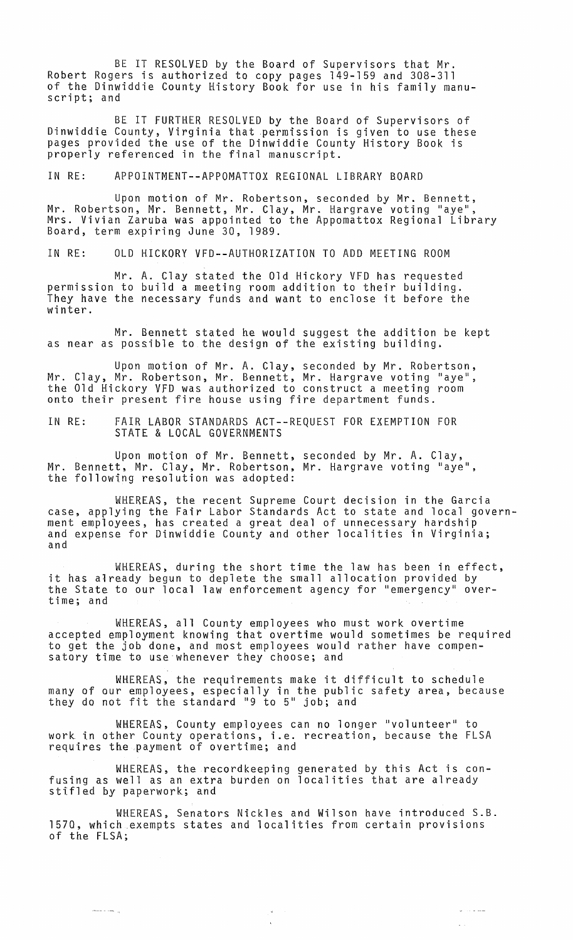BE IT RESOLVED by the Board of Supervisors that Mr. Robert Rogers is authorized to copy pages 149-159 and 308-311 of the Dinwiddie County History Book for use in his family manuscript; and

BE IT FURTHER RESOLVED by the Board of Supervisors of Dinwiddie County, Virginia that permission is given to use these pages provided the use of the Dinwiddie County History Book is properly referenced in the final manuscript.

## IN RE: APPOINTMENT--APPOMATTOX REGIONAL LIBRARY BOARD

Upon motion of Mr. Robertson, seconded by Mr. Bennett, Mr. Robertson, Mr. Bennett, Mr. Clay, Mr. Hargrave voting "aye", Mrs. Vivian Zaruba was appointed to the Appomattox Regional Library Board, term expiring June 30, 1989.

IN RE: OLD HICKORY VFD--AUTHORIZATION TO ADD MEETING ROOM

Mr. A. Clay stated the Old Hickory VFD has requested permission to build a meeting room addition to their building. They have the necessary funds and want to enclose it before the winter.

Mr. Bennett stated he would suggest the addition be kept as near as possible to the design of the existing building.

Upon motion of Mr. A. Clay, seconded by Mr. Robertson, Mr. Clay, Mr. Robertson, Mr. Bennett, Mr. Hargrave voting "aye", the Old Hickory VFD was authorized to construct a meeting room onto their present fire house using fire department funds.

IN RE: FAIR LABOR STANDARDS ACT--REQUEST FOR EXEMPTION FOR STATE & LOCAL GOVERNMENTS

Upon motion of Mr. Bennett, seconded by Mr. A. Clay, Mr. Bennett, Mr. Clay, Mr. Robertson, Mr. Hargrave voting "aye", the following resolution was adopted:

WHEREAS, the recent Supreme Court decision in the Garcia case, applying the Fair Labor Standards Act to state and local government employees, has created a great deal of unnecessary hardship and expense for Dinwiddie County and other localities in Virginia; and

WHEREAS, during the short time the law has been in effect, it has already begun to deplete the small allocation provided by the State to our local law enforcement agency for "emergency" overtime; and

WHEREAS, all County employees who must work overtime accepted employment knowing that overtime would sometimes be required to get the job done, and most employees would rather have compensatory time to use whenever they choose; and

WHEREAS, the requirements make it difficult to schedule many of our employees, especially in the public safety area, because many of our employees, especially in the public<br>they do not fit the standard "9 to 5" job; and

WHEREAS, County employees can no longer "volunteer" to work in other County operations, i.e. recreation, because the FLSA requires the payment of overtime; and

WHEREAS, the recordkeeping generated by this Act is confusing as well as an extra burden on localities that are already stifled by paperwork; and

WHEREAS, Senators Nickles and Wilson have introduced S.B. 1570, which exempts states and localities from certain provisions of the FLSA;

> ستدعاء الد  $\mathcal{L}(\mathcal{A})$

ن ساد مسی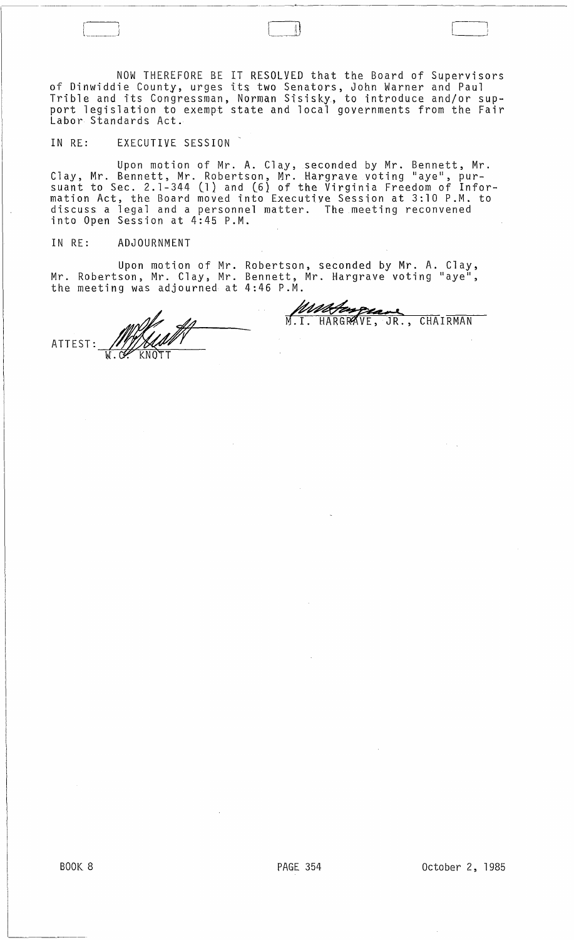NOW THEREFORE BE IT RESOLVED that the Board of Supervisors of Dinwiddie County, urges its two Senators, John Warner and Paul Trible and its Congressman, Norman Sisisky, to introduce and/or support legislation to exempt state and local governments from the Fair Labor Standards Act.

## IN RE: EXECUTIVE SESSION

Upon motion of Mr. A. Clay, seconded by Mr. Bennett, Mr. Clay, Mr. Bennett, Mr. Robertson, Mr. Hargrave voting "aye", pursuant to Sec. 2.1-344 (1) and (6) of the Virginia Freedom of Information Act, the Board moved into Executive Session at 3:10 P.M. to discuss a legal and a personnel matter. The meeting reconvened into Open Session at 4:45 P.M.

## IN RE: ADJOURNMENT

Upon motion of Mr. Mr. Robertson, Mr. Clay, Mr. the meeting was adjourned at Robertson, seconded by Mr. A. Clay, Bennett, Mr. Hargrave voting "aye", 4:46 P.M.

ATTEST:  $\not\!\!\!I$ W CONTI MUNICIPE CHAIRMAN